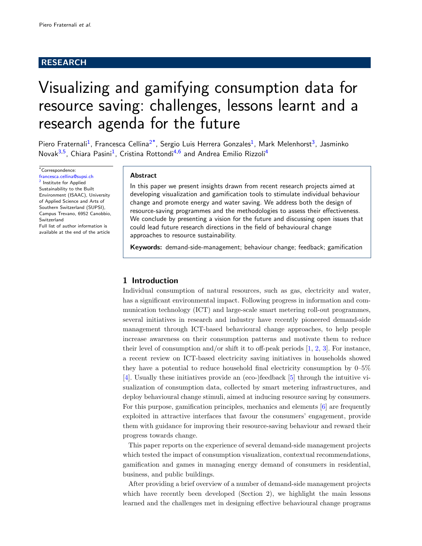# RESEARCH

# Visualizing and gamifying consumption data for resource saving: challenges, lessons learnt and a research agenda for the future

Piero Fraternali<sup>[1](#page-10-0)</sup>, Francesca Cellina<sup>[2](#page-10-1)[\\*](#page-0-0)</sup>, Sergio Luis Herrera Gonzales<sup>1</sup>, Mark Melenhorst<sup>[3](#page-10-2)</sup>, Jasminko Novak<sup>[3,](#page-10-2)[5](#page-10-3)</sup>, Chiara Pasini<sup>[1](#page-10-0)</sup>, Cristina Rottondi<sup>[4,](#page-10-4)[6](#page-10-5)</sup> and Andrea Emilio Rizzoli<sup>[4](#page-10-4)</sup>

<span id="page-0-0"></span>\*Correspondence: [francesca.cellina@supsi.ch](mailto:francesca.cellina@supsi.ch) <sup>[2](#page-10-1)</sup> Institute for Applied Sustainability to the Built Environment (ISAAC), University of Applied Science and Arts of Southern Switzerland (SUPSI), Campus Trevano, 6952 Canobbio, Switzerland Full list of author information is available at the end of the article

#### Abstract

In this paper we present insights drawn from recent research projects aimed at developing visualization and gamification tools to stimulate individual behaviour change and promote energy and water saving. We address both the design of resource-saving programmes and the methodologies to assess their effectiveness. We conclude by presenting a vision for the future and discussing open issues that could lead future research directions in the field of behavioural change approaches to resource sustainability.

Keywords: demand-side-management; behaviour change; feedback; gamification

## 1 Introduction

Individual consumption of natural resources, such as gas, electricity and water, has a significant environmental impact. Following progress in information and communication technology (ICT) and large-scale smart metering roll-out programmes, several initiatives in research and industry have recently pioneered demand-side management through ICT-based behavioural change approaches, to help people increase awareness on their consumption patterns and motivate them to reduce their level of consumption and/or shift it to off-peak periods  $[1, 2, 3]$  $[1, 2, 3]$  $[1, 2, 3]$  $[1, 2, 3]$  $[1, 2, 3]$ . For instance, a recent review on ICT-based electricity saving initiatives in households showed they have a potential to reduce household final electricity consumption by 0–5% [\[4\]](#page-10-9). Usually these initiatives provide an (eco-)feedback [\[5\]](#page-10-10) through the intuitive visualization of consumption data, collected by smart metering infrastructures, and deploy behavioural change stimuli, aimed at inducing resource saving by consumers. For this purpose, gamification principles, mechanics and elements [\[6\]](#page-10-11) are frequently exploited in attractive interfaces that favour the consumers' engagement, provide them with guidance for improving their resource-saving behaviour and reward their progress towards change.

This paper reports on the experience of several demand-side management projects which tested the impact of consumption visualization, contextual recommendations, gamification and games in managing energy demand of consumers in residential, business, and public buildings.

After providing a brief overview of a number of demand-side management projects which have recently been developed (Section 2), we highlight the main lessons learned and the challenges met in designing effective behavioural change programs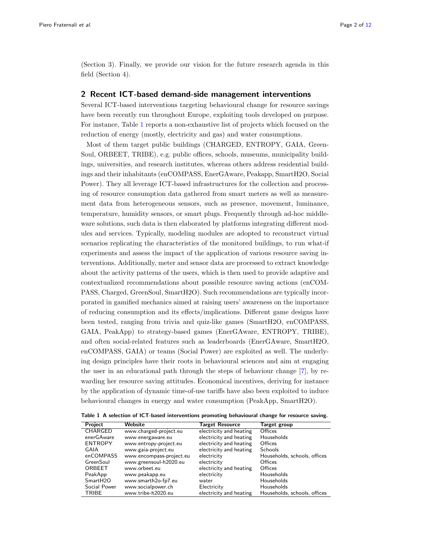(Section 3). Finally, we provide our vision for the future research agenda in this field (Section 4).

## 2 Recent ICT-based demand-side management interventions

Several ICT-based interventions targeting behavioural change for resource savings have been recently run throughout Europe, exploiting tools developed on purpose. For instance, Table [1](#page-1-0) reports a non-exhaustive list of projects which focused on the reduction of energy (mostly, electricity and gas) and water consumptions.

Most of them target public buildings (CHARGED, ENTROPY, GAIA, Green-Soul, ORBEET, TRIBE), e.g. public offices, schools, museums, municipality buildings, universities, and research institutes, whereas others address residential buildings and their inhabitants (enCOMPASS, EnerGAware, Peakapp, SmartH2O, Social Power). They all leverage ICT-based infrastructures for the collection and processing of resource consumption data gathered from smart meters as well as measurement data from heterogeneous sensors, such as presence, movement, luminance, temperature, humidity sensors, or smart plugs. Frequently through ad-hoc middleware solutions, such data is then elaborated by platforms integrating different modules and services. Typically, modeling modules are adopted to reconstruct virtual scenarios replicating the characteristics of the monitored buildings, to run what-if experiments and assess the impact of the application of various resource saving interventions. Additionally, meter and sensor data are processed to extract knowledge about the activity patterns of the users, which is then used to provide adaptive and contextualized recommendations about possible resource saving actions (enCOM-PASS, Charged, GreenSoul, SmartH2O). Such recommendations are typically incorporated in gamified mechanics aimed at raising users' awareness on the importance of reducing consumption and its effects/implications. Different game designs have been tested, ranging from trivia and quiz-like games (SmartH2O, enCOMPASS, GAIA, PeakApp) to strategy-based games (EnerGAware, ENTROPY, TRIBE), and often social-related features such as leaderboards (EnerGAware, SmartH2O, enCOMPASS, GAIA) or teams (Social Power) are exploited as well. The underlying design principles have their roots in behavioural sciences and aim at engaging the user in an educational path through the steps of behaviour change [\[7\]](#page-10-12), by rewarding her resource saving attitudes. Economical incentives, deriving for instance by the application of dynamic time-of-use tariffs have also been exploited to induce behavioural changes in energy and water consumption (PeakApp, SmartH2O).

<span id="page-1-0"></span>

| Table 1 A selection of ICT-based interventions promoting behavioural change for resource saving. |  |
|--------------------------------------------------------------------------------------------------|--|
|--------------------------------------------------------------------------------------------------|--|

| <b>Project</b>       | Website                  | <b>Target Resource</b>  | <b>Target group</b>          |
|----------------------|--------------------------|-------------------------|------------------------------|
| CHARGED              | www.charged-project.eu   | electricity and heating | Offices                      |
| enerGAware           | www.energaware.eu        | electricity and heating | Households                   |
| <b>ENTROPY</b>       | www.entropy-project.eu   | electricity and heating | Offices                      |
| GAIA                 | www.gaia-project.eu      | electricity and heating | <b>Schools</b>               |
| enCOMPASS            | www.encompass-project.eu | electricity             | Households, schools, offices |
| GreenSoul            | www.greensoul-h2020.eu   | electricity             | Offices                      |
| ORBEET               | www.orbeet.eu            | electricity and heating | Offices                      |
| PeakApp              | www.peakapp.eu           | electricity             | Households                   |
| SmartH <sub>20</sub> | www.smarth2o-fp7.eu      | water                   | Households                   |
| Social Power         | www.socialpower.ch       | Electricity             | Households                   |
| <b>TRIBE</b>         | www.tribe-h2020.eu       | electricity and heating | Households, schools, offices |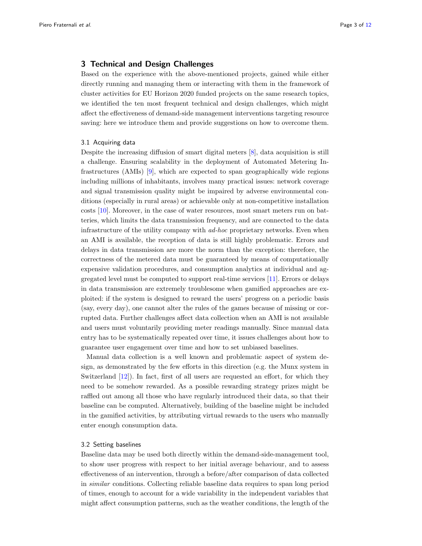## 3 Technical and Design Challenges

Based on the experience with the above-mentioned projects, gained while either directly running and managing them or interacting with them in the framework of cluster activities for EU Horizon 2020 funded projects on the same research topics, we identified the ten most frequent technical and design challenges, which might affect the effectiveness of demand-side management interventions targeting resource saving: here we introduce them and provide suggestions on how to overcome them.

## 3.1 Acquiring data

Despite the increasing diffusion of smart digital meters [\[8\]](#page-10-13), data acquisition is still a challenge. Ensuring scalability in the deployment of Automated Metering Infrastructures (AMIs) [\[9\]](#page-10-14), which are expected to span geographically wide regions including millions of inhabitants, involves many practical issues: network coverage and signal transmission quality might be impaired by adverse environmental conditions (especially in rural areas) or achievable only at non-competitive installation costs [\[10\]](#page-10-15). Moreover, in the case of water resources, most smart meters run on batteries, which limits the data transmission frequency, and are connected to the data infrastructure of the utility company with ad-hoc proprietary networks. Even when an AMI is available, the reception of data is still highly problematic. Errors and delays in data transmission are more the norm than the exception: therefore, the correctness of the metered data must be guaranteed by means of computationally expensive validation procedures, and consumption analytics at individual and aggregated level must be computed to support real-time services [\[11\]](#page-10-16). Errors or delays in data transmission are extremely troublesome when gamified approaches are exploited: if the system is designed to reward the users' progress on a periodic basis (say, every day), one cannot alter the rules of the games because of missing or corrupted data. Further challenges affect data collection when an AMI is not available and users must voluntarily providing meter readings manually. Since manual data entry has to be systematically repeated over time, it issues challenges about how to guarantee user engagement over time and how to set unbiased baselines.

Manual data collection is a well known and problematic aspect of system design, as demonstrated by the few efforts in this direction (e.g. the Munx system in Switzerland [\[12\]](#page-10-17)). In fact, first of all users are requested an effort, for which they need to be somehow rewarded. As a possible rewarding strategy prizes might be raffled out among all those who have regularly introduced their data, so that their baseline can be computed. Alternatively, building of the baseline might be included in the gamified activities, by attributing virtual rewards to the users who manually enter enough consumption data.

#### 3.2 Setting baselines

Baseline data may be used both directly within the demand-side-management tool, to show user progress with respect to her initial average behaviour, and to assess effectiveness of an intervention, through a before/after comparison of data collected in similar conditions. Collecting reliable baseline data requires to span long period of times, enough to account for a wide variability in the independent variables that might affect consumption patterns, such as the weather conditions, the length of the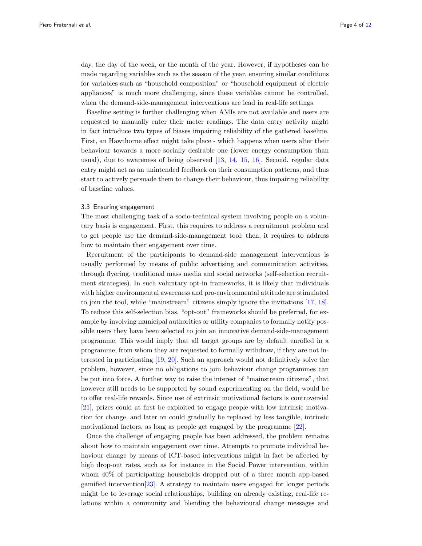day, the day of the week, or the month of the year. However, if hypotheses can be made regarding variables such as the season of the year, ensuring similar conditions for variables such as "household composition" or "household equipment of electric appliances" is much more challenging, since these variables cannot be controlled, when the demand-side-management interventions are lead in real-life settings.

Baseline setting is further challenging when AMIs are not available and users are requested to manually enter their meter readings. The data entry activity might in fact introduce two types of biases impairing reliability of the gathered baseline. First, an Hawthorne effect might take place - which happens when users alter their behaviour towards a more socially desirable one (lower energy consumption than usual), due to awareness of being observed [\[13,](#page-10-18) [14,](#page-10-19) [15,](#page-10-20) [16\]](#page-10-21). Second, regular data entry might act as an unintended feedback on their consumption patterns, and thus start to actively persuade them to change their behaviour, thus impairing reliability of baseline values.

#### 3.3 Ensuring engagement

The most challenging task of a socio-technical system involving people on a voluntary basis is engagement. First, this requires to address a recruitment problem and to get people use the demand-side-management tool; then, it requires to address how to maintain their engagement over time.

Recruitment of the participants to demand-side management interventions is usually performed by means of public advertising and communication activities, through flyering, traditional mass media and social networks (self-selection recruitment strategies). In such voluntary opt-in frameworks, it is likely that individuals with higher environmental awareness and pro-environmental attitude are stimulated to join the tool, while "mainstream" citizens simply ignore the invitations [\[17,](#page-10-22) [18\]](#page-10-23). To reduce this self-selection bias, "opt-out" frameworks should be preferred, for example by involving municipal authorities or utility companies to formally notify possible users they have been selected to join an innovative demand-side-management programme. This would imply that all target groups are by default enrolled in a programme, from whom they are requested to formally withdraw, if they are not interested in participating [\[19,](#page-10-24) [20\]](#page-10-25). Such an approach would not definitively solve the problem, however, since no obligations to join behaviour change programmes can be put into force. A further way to raise the interest of "mainstream citizens", that however still needs to be supported by sound experimenting on the field, would be to offer real-life rewards. Since use of extrinsic motivational factors is controversial [\[21\]](#page-10-26), prizes could at first be exploited to engage people with low intrinsic motivation for change, and later on could gradually be replaced by less tangible, intrinsic motivational factors, as long as people get engaged by the programme [\[22\]](#page-10-27).

Once the challenge of engaging people has been addressed, the problem remains about how to maintain engagement over time. Attempts to promote individual behaviour change by means of ICT-based interventions might in fact be affected by high drop-out rates, such as for instance in the Social Power intervention, within whom 40% of participating households dropped out of a three month app-based gamified intervention[\[23\]](#page-10-28). A strategy to maintain users engaged for longer periods might be to leverage social relationships, building on already existing, real-life relations within a community and blending the behavioural change messages and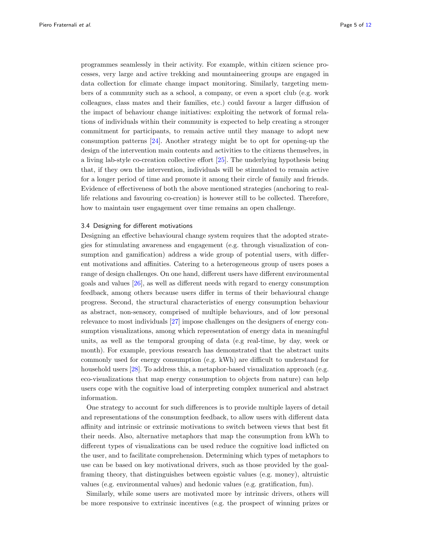programmes seamlessly in their activity. For example, within citizen science processes, very large and active trekking and mountaineering groups are engaged in data collection for climate change impact monitoring. Similarly, targeting members of a community such as a school, a company, or even a sport club (e.g. work colleagues, class mates and their families, etc.) could favour a larger diffusion of the impact of behaviour change initiatives: exploiting the network of formal relations of individuals within their community is expected to help creating a stronger commitment for participants, to remain active until they manage to adopt new consumption patterns [\[24\]](#page-10-29). Another strategy might be to opt for opening-up the design of the intervention main contents and activities to the citizens themselves, in a living lab-style co-creation collective effort [\[25\]](#page-10-30). The underlying hypothesis being that, if they own the intervention, individuals will be stimulated to remain active for a longer period of time and promote it among their circle of family and friends. Evidence of effectiveness of both the above mentioned strategies (anchoring to reallife relations and favouring co-creation) is however still to be collected. Therefore, how to maintain user engagement over time remains an open challenge.

#### 3.4 Designing for different motivations

Designing an effective behavioural change system requires that the adopted strategies for stimulating awareness and engagement (e.g. through visualization of consumption and gamification) address a wide group of potential users, with different motivations and affinities. Catering to a heterogeneous group of users poses a range of design challenges. On one hand, different users have different environmental goals and values [\[26\]](#page-10-31), as well as different needs with regard to energy consumption feedback, among others because users differ in terms of their behavioural change progress. Second, the structural characteristics of energy consumption behaviour as abstract, non-sensory, comprised of multiple behaviours, and of low personal relevance to most individuals [\[27\]](#page-10-32) impose challenges on the designers of energy consumption visualizations, among which representation of energy data in meaningful units, as well as the temporal grouping of data (e.g real-time, by day, week or month). For example, previous research has demonstrated that the abstract units commonly used for energy consumption (e.g. kWh) are difficult to understand for household users [\[28\]](#page-11-1). To address this, a metaphor-based visualization approach (e.g. eco-visualizations that map energy consumption to objects from nature) can help users cope with the cognitive load of interpreting complex numerical and abstract information.

One strategy to account for such differences is to provide multiple layers of detail and representations of the consumption feedback, to allow users with different data affinity and intrinsic or extrinsic motivations to switch between views that best fit their needs. Also, alternative metaphors that map the consumption from kWh to different types of visualizations can be used reduce the cognitive load inflicted on the user, and to facilitate comprehension. Determining which types of metaphors to use can be based on key motivational drivers, such as those provided by the goalframing theory, that distinguishes between egoistic values (e.g. money), altruistic values (e.g. environmental values) and hedonic values (e.g. gratification, fun).

Similarly, while some users are motivated more by intrinsic drivers, others will be more responsive to extrinsic incentives (e.g. the prospect of winning prizes or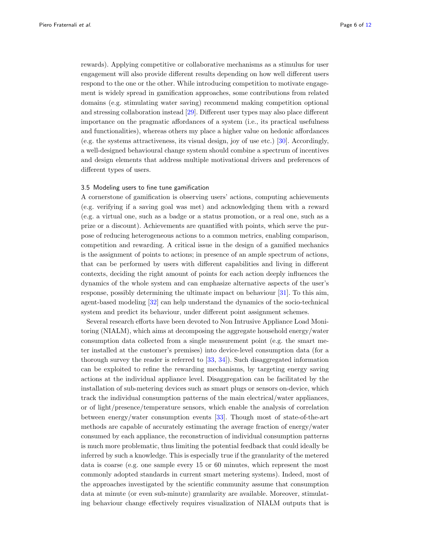rewards). Applying competitive or collaborative mechanisms as a stimulus for user engagement will also provide different results depending on how well different users respond to the one or the other. While introducing competition to motivate engagement is widely spread in gamification approaches, some contributions from related domains (e.g. stimulating water saving) recommend making competition optional and stressing collaboration instead [\[29\]](#page-11-2). Different user types may also place different importance on the pragmatic affordances of a system (i.e., its practical usefulness and functionalities), whereas others my place a higher value on hedonic affordances (e.g. the systems attractiveness, its visual design, joy of use etc.) [\[30\]](#page-11-3). Accordingly, a well-designed behavioural change system should combine a spectrum of incentives and design elements that address multiple motivational drivers and preferences of different types of users.

### 3.5 Modeling users to fine tune gamification

A cornerstone of gamification is observing users' actions, computing achievements (e.g. verifying if a saving goal was met) and acknowledging them with a reward (e.g. a virtual one, such as a badge or a status promotion, or a real one, such as a prize or a discount). Achievements are quantified with points, which serve the purpose of reducing heterogeneous actions to a common metrics, enabling comparison, competition and rewarding. A critical issue in the design of a gamified mechanics is the assignment of points to actions; in presence of an ample spectrum of actions, that can be performed by users with different capabilities and living in different contexts, deciding the right amount of points for each action deeply influences the dynamics of the whole system and can emphasize alternative aspects of the user's response, possibly determining the ultimate impact on behaviour [\[31\]](#page-11-4). To this aim, agent-based modeling [\[32\]](#page-11-5) can help understand the dynamics of the socio-technical system and predict its behaviour, under different point assignment schemes.

Several research efforts have been devoted to Non Intrusive Appliance Load Monitoring (NIALM), which aims at decomposing the aggregate household energy/water consumption data collected from a single measurement point (e.g. the smart meter installed at the customer's premises) into device-level consumption data (for a thorough survey the reader is referred to [\[33,](#page-11-6) [34\]](#page-11-7)). Such disaggregated information can be exploited to refine the rewarding mechanisms, by targeting energy saving actions at the individual appliance level. Disaggregation can be facilitated by the installation of sub-metering devices such as smart plugs or sensors on-device, which track the individual consumption patterns of the main electrical/water appliances, or of light/presence/temperature sensors, which enable the analysis of correlation between energy/water consumption events [\[33\]](#page-11-6). Though most of state-of-the-art methods are capable of accurately estimating the average fraction of energy/water consumed by each appliance, the reconstruction of individual consumption patterns is much more problematic, thus limiting the potential feedback that could ideally be inferred by such a knowledge. This is especially true if the granularity of the metered data is coarse (e.g. one sample every 15 or 60 minutes, which represent the most commonly adopted standards in current smart metering systems). Indeed, most of the approaches investigated by the scientific community assume that consumption data at minute (or even sub-minute) granularity are available. Moreover, stimulating behaviour change effectively requires visualization of NIALM outputs that is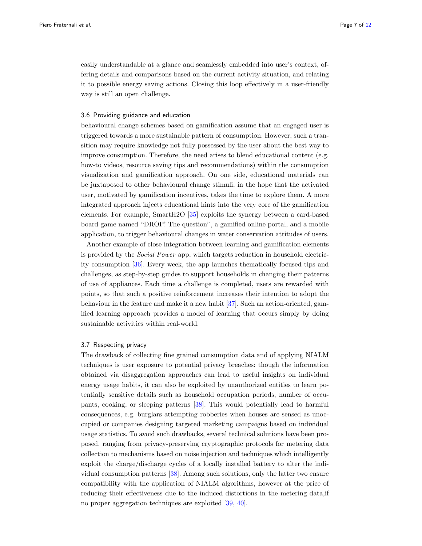easily understandable at a glance and seamlessly embedded into user's context, offering details and comparisons based on the current activity situation, and relating it to possible energy saving actions. Closing this loop effectively in a user-friendly way is still an open challenge.

#### 3.6 Providing guidance and education

behavioural change schemes based on gamification assume that an engaged user is triggered towards a more sustainable pattern of consumption. However, such a transition may require knowledge not fully possessed by the user about the best way to improve consumption. Therefore, the need arises to blend educational content (e.g. how-to videos, resource saving tips and recommendations) within the consumption visualization and gamification approach. On one side, educational materials can be juxtaposed to other behavioural change stimuli, in the hope that the activated user, motivated by gamification incentives, takes the time to explore them. A more integrated approach injects educational hints into the very core of the gamification elements. For example, SmartH2O [\[35\]](#page-11-8) exploits the synergy between a card-based board game named "DROP! The question", a gamified online portal, and a mobile application, to trigger behavioural changes in water conservation attitudes of users.

Another example of close integration between learning and gamification elements is provided by the Social Power app, which targets reduction in household electricity consumption [\[36\]](#page-11-9). Every week, the app launches thematically focused tips and challenges, as step-by-step guides to support households in changing their patterns of use of appliances. Each time a challenge is completed, users are rewarded with points, so that such a positive reinforcement increases their intention to adopt the behaviour in the feature and make it a new habit [\[37\]](#page-11-10). Such an action-oriented, gamified learning approach provides a model of learning that occurs simply by doing sustainable activities within real-world.

## 3.7 Respecting privacy

The drawback of collecting fine grained consumption data and of applying NIALM techniques is user exposure to potential privacy breaches: though the information obtained via disaggregation approaches can lead to useful insights on individual energy usage habits, it can also be exploited by unauthorized entities to learn potentially sensitive details such as household occupation periods, number of occupants, cooking, or sleeping patterns [\[38\]](#page-11-11). This would potentially lead to harmful consequences, e.g. burglars attempting robberies when houses are sensed as unoccupied or companies designing targeted marketing campaigns based on individual usage statistics. To avoid such drawbacks, several technical solutions have been proposed, ranging from privacy-preserving cryptographic protocols for metering data collection to mechanisms based on noise injection and techniques which intelligently exploit the charge/discharge cycles of a locally installed battery to alter the individual consumption patterns [\[38\]](#page-11-11). Among such solutions, only the latter two ensure compatibility with the application of NIALM algorithms, however at the price of reducing their effectiveness due to the induced distortions in the metering data,if no proper aggregation techniques are exploited [\[39,](#page-11-12) [40\]](#page-11-13).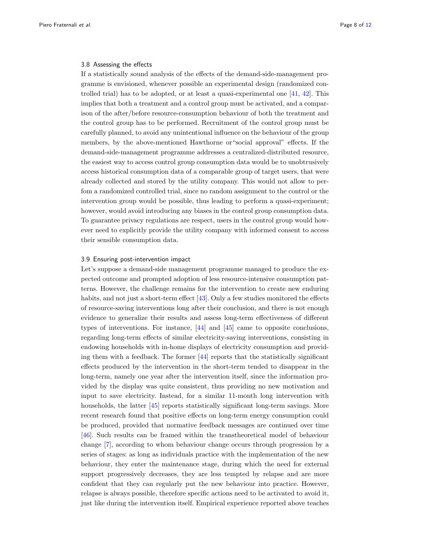#### 3.8 Assessing the effects

If a statistically sound analysis of the effects of the demand-side-management programme is envisioned, whenever possible an experimental design (randomized controlled trial) has to be adopted, or at least a quasi-experimental one [\[41,](#page-11-14) [42\]](#page-11-15). This implies that both a treatment and a control group must be activated, and a comparison of the after/before resource-consumption behaviour of both the treatment and the control group has to be performed. Recruitment of the control group must be carefully planned, to avoid any unintentional influence on the behaviour of the group members, by the above-mentioned Hawthorne or"social approval" effects. If the demand-side-management programme addresses a centralized-distributed resource, the easiest way to access control group consumption data would be to unobtrusively access historical consumption data of a comparable group of target users, that were already collected and stored by the utility company. This would not allow to perfom a randomized controlled trial, since no random assignment to the control or the intervention group would be possible, thus leading to perform a quasi-experiment; however, would avoid introducing any biases in the control group consumption data. To guarantee privacy regulations are respect, users in the control group would however need to explicitly provide the utility company with informed consent to access their sensible consumption data.

#### 3.9 Ensuring post-intervention impact

Let's suppose a demand-side management programme managed to produce the expected outcome and prompted adoption of less resource-intensive consumption patterns. However, the challenge remains for the intervention to create new enduring habits, and not just a short-term effect [\[43\]](#page-11-16). Only a few studies monitored the effects of resource-saving interventions long after their conclusion, and there is not enough evidence to generalize their results and assess long-term effectiveness of different types of interventions. For instance, [\[44\]](#page-11-17) and [\[45\]](#page-11-18) came to opposite conclusions, regarding long-term effects of similar electricity-saving interventions, consisting in endowing households with in-home displays of electricity consumption and providing them with a feedback. The former [\[44\]](#page-11-17) reports that the statistically significant effects produced by the intervention in the short-term tended to disappear in the long-term, namely one year after the intervention itself, since the information provided by the display was quite consistent, thus providing no new motivation and input to save electricity. Instead, for a similar 11-month long intervention with households, the latter [\[45\]](#page-11-18) reports statistically significant long-term savings. More recent research found that positive effects on long-term energy consumption could be produced, provided that normative feedback messages are continued over time [\[46\]](#page-11-19). Such results can be framed within the transtheoretical model of behaviour change [\[7\]](#page-10-12), according to whom behaviour change occurs through progression by a series of stages: as long as individuals practice with the implementation of the new behaviour, they enter the maintenance stage, during which the need for external support progressively decreases, they are less tempted by relapse and are more confident that they can regularly put the new behaviour into practice. However, relapse is always possible, therefore specific actions need to be activated to avoid it, just like during the intervention itself. Empirical experience reported above teaches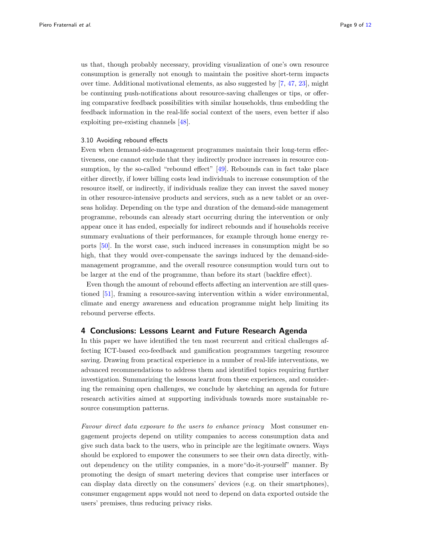us that, though probably necessary, providing visualization of one's own resource consumption is generally not enough to maintain the positive short-term impacts over time. Additional motivational elements, as also suggested by [\[7,](#page-10-12) [47,](#page-11-20) [23\]](#page-10-28), might be continuing push-notifications about resource-saving challenges or tips, or offering comparative feedback possibilities with similar households, thus embedding the feedback information in the real-life social context of the users, even better if also exploiting pre-existing channels [\[48\]](#page-11-21).

## 3.10 Avoiding rebound effects

Even when demand-side-management programmes maintain their long-term effectiveness, one cannot exclude that they indirectly produce increases in resource con-sumption, by the so-called "rebound effect" [\[49\]](#page-11-22). Rebounds can in fact take place either directly, if lower billing costs lead individuals to increase consumption of the resource itself, or indirectly, if individuals realize they can invest the saved money in other resource-intensive products and services, such as a new tablet or an overseas holiday. Depending on the type and duration of the demand-side management programme, rebounds can already start occurring during the intervention or only appear once it has ended, especially for indirect rebounds and if households receive summary evaluations of their performances, for example through home energy reports [\[50\]](#page-11-23). In the worst case, such induced increases in consumption might be so high, that they would over-compensate the savings induced by the demand-sidemanagement programme, and the overall resource consumption would turn out to be larger at the end of the programme, than before its start (backfire effect).

Even though the amount of rebound effects affecting an intervention are still questioned [\[51\]](#page-11-24), framing a resource-saving intervention within a wider environmental, climate and energy awareness and education programme might help limiting its rebound perverse effects.

#### 4 Conclusions: Lessons Learnt and Future Research Agenda

In this paper we have identified the ten most recurrent and critical challenges affecting ICT-based eco-feedback and gamification programmes targeting resource saving. Drawing from practical experience in a number of real-life interventions, we advanced recommendations to address them and identified topics requiring further investigation. Summarizing the lessons learnt from these experiences, and considering the remaining open challenges, we conclude by sketching an agenda for future research activities aimed at supporting individuals towards more sustainable resource consumption patterns.

Favour direct data exposure to the users to enhance privacy Most consumer engagement projects depend on utility companies to access consumption data and give such data back to the users, who in principle are the legitimate owners. Ways should be explored to empower the consumers to see their own data directly, without dependency on the utility companies, in a more"do-it-yourself" manner. By promoting the design of smart metering devices that comprise user interfaces or can display data directly on the consumers' devices (e.g. on their smartphones), consumer engagement apps would not need to depend on data exported outside the users' premises, thus reducing privacy risks.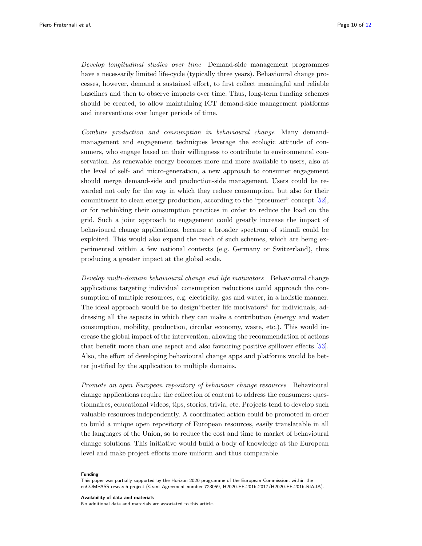Develop longitudinal studies over time Demand-side management programmes have a necessarily limited life-cycle (typically three years). Behavioural change processes, however, demand a sustained effort, to first collect meaningful and reliable baselines and then to observe impacts over time. Thus, long-term funding schemes should be created, to allow maintaining ICT demand-side management platforms and interventions over longer periods of time.

Combine production and consumption in behavioural change Many demandmanagement and engagement techniques leverage the ecologic attitude of consumers, who engage based on their willingness to contribute to environmental conservation. As renewable energy becomes more and more available to users, also at the level of self- and micro-generation, a new approach to consumer engagement should merge demand-side and production-side management. Users could be rewarded not only for the way in which they reduce consumption, but also for their commitment to clean energy production, according to the "prosumer" concept [\[52\]](#page-11-25), or for rethinking their consumption practices in order to reduce the load on the grid. Such a joint approach to engagement could greatly increase the impact of behavioural change applications, because a broader spectrum of stimuli could be exploited. This would also expand the reach of such schemes, which are being experimented within a few national contexts (e.g. Germany or Switzerland), thus producing a greater impact at the global scale.

Develop multi-domain behavioural change and life motivators Behavioural change applications targeting individual consumption reductions could approach the consumption of multiple resources, e.g. electricity, gas and water, in a holistic manner. The ideal approach would be to design"better life motivators" for individuals, addressing all the aspects in which they can make a contribution (energy and water consumption, mobility, production, circular economy, waste, etc.). This would increase the global impact of the intervention, allowing the recommendation of actions that benefit more than one aspect and also favouring positive spillover effects [\[53\]](#page-11-26). Also, the effort of developing behavioural change apps and platforms would be better justified by the application to multiple domains.

Promote an open European repository of behaviour change resources Behavioural change applications require the collection of content to address the consumers: questionnaires, educational videos, tips, stories, trivia, etc. Projects tend to develop such valuable resources independently. A coordinated action could be promoted in order to build a unique open repository of European resources, easily translatable in all the languages of the Union, so to reduce the cost and time to market of behavioural change solutions. This initiative would build a body of knowledge at the European level and make project efforts more uniform and thus comparable.

#### Funding

This paper was partially supported by the Horizon 2020 programme of the European Commission, within the enCOMPASS research project (Grant Agreement number 723059, H2020-EE-2016-2017/H2020-EE-2016-RIA-IA).

Availability of data and materials

No additional data and materials are associated to this article.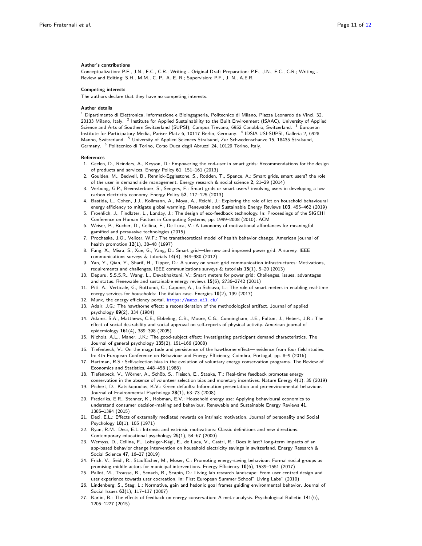#### Author's contributions

Conceptualization: P.F., J.N., F.C., C.R.; Writing - Original Draft Preparation: P.F., J.N., F.C., C.R.; Writing - Review and Editing: S.H., M.M., C. P., A. E. R.; Supervision: P.F., J. N., A.E.R.

#### Competing interests

The authors declare that they have no competing interests.

#### Author details

<span id="page-10-1"></span><span id="page-10-0"></span> $^1$  Dipartimento di Elettronica, Informazione e Bioingegneria, Politecnico di Milano, Piazza Leonardo da Vinci, 32, 20133 Milano, Italy. <sup>2</sup> Institute for Applied Sustainability to the Built Environment (ISAAC), University of Applied Science and Arts of Southern Switzerland (SUPSI), Campus Trevano, 6952 Canobbio, Switzerland. <sup>3</sup> European Institute for Participatory Media, Pariser Platz 6, 10117 Berlin, Germany. <sup>4</sup> IDSIA USI-SUPSI, Galleria 2, 6928 Manno, Switzerland. <sup>5</sup> University of Applied Sciences Stralsund, Zur Schwedenschanze 15, 18435 Stralsund, Germany. <sup>6</sup> Politecnico di Torino, Corso Duca degli Abruzzi 24, 10129 Torino, Italy.

#### <span id="page-10-5"></span>References

- <span id="page-10-6"></span><span id="page-10-4"></span><span id="page-10-3"></span><span id="page-10-2"></span>1. Geelen, D., Reinders, A., Keyson, D.: Empowering the end-user in smart grids: Recommendations for the design of products and services. Energy Policy 61, 151–161 (2013)
- <span id="page-10-7"></span>2. Goulden, M., Bedwell, B., Rennick-Egglestone, S., Rodden, T., Spence, A.: Smart grids, smart users? the role of the user in demand side management. Energy research & social science 2, 21–29 (2014)
- <span id="page-10-8"></span>3. Verbong, G.P., Beemsterboer, S., Sengers, F.: Smart grids or smart users? involving users in developing a low carbon electricity economy. Energy Policy 52, 117–125 (2013)
- <span id="page-10-9"></span>4. Bastida, L., Cohen, J.J., Kollmann, A., Moya, A., Reichl, J.: Exploring the role of ict on household behavioural energy efficiency to mitigate global warming. Renewable and Sustainable Energy Reviews 103, 455–462 (2019)
- <span id="page-10-10"></span>5. Froehlich, J., Findlater, L., Landay, J.: The design of eco-feedback technology. In: Proceedings of the SIGCHI Conference on Human Factors in Computing Systems, pp. 1999–2008 (2010). ACM
- <span id="page-10-11"></span>6. Weiser, P., Bucher, D., Cellina, F., De Luca, V.: A taxonomy of motivational affordances for meaningful gamified and persuasive technologies (2015)
- <span id="page-10-12"></span>7. Prochaska, J.O., Velicer, W.F.: The transtheoretical model of health behavior change. American journal of health promotion 12(1), 38–48 (1997)
- <span id="page-10-13"></span>8. Fang, X., Misra, S., Xue, G., Yang, D.: Smart grid—the new and improved power grid: A survey. IEEE communications surveys & tutorials 14(4), 944–980 (2012)
- <span id="page-10-14"></span>9. Yan, Y., Qian, Y., Sharif, H., Tipper, D.: A survey on smart grid communication infrastructures: Motivations, requirements and challenges. IEEE communications surveys & tutorials  $15(1)$ , 5–20 (2013)
- <span id="page-10-15"></span>10. Depuru, S.S.S.R., Wang, L., Devabhaktuni, V.: Smart meters for power grid: Challenges, issues, advantages and status. Renewable and sustainable energy reviews 15(6), 2736–2742 (2011)
- <span id="page-10-16"></span>11. Pitì, A., Verticale, G., Rottondi, C., Capone, A., Lo Schiavo, L.: The role of smart meters in enabling real-time energy services for households: The italian case. Energies 10(2), 199 (2017)
- <span id="page-10-17"></span>12. Munx, the energy efficiency portal. <https://munx.ail.ch/>
- <span id="page-10-18"></span>13. Adair, J.G.: The hawthorne effect: a reconsideration of the methodological artifact. Journal of applied psychology 69(2), 334 (1984)
- <span id="page-10-19"></span>14. Adams, S.A., Matthews, C.E., Ebbeling, C.B., Moore, C.G., Cunningham, J.E., Fulton, J., Hebert, J.R.: The effect of social desirability and social approval on self-reports of physical activity. American journal of epidemiology 161(4), 389–398 (2005)
- <span id="page-10-20"></span>15. Nichols, A.L., Maner, J.K.: The good-subject effect: Investigating participant demand characteristics. The Journal of general psychology 135(2), 151–166 (2008)
- <span id="page-10-21"></span>16. Tiefenbeck, V.: On the magnitude and persistence of the hawthorne effect— evidence from four field studies. In: 4th European Conference on Behaviour and Energy Efficiency, Coimbra, Portugal, pp. 8–9 (2016)
- <span id="page-10-22"></span>17. Hartman, R.S.: Self-selection bias in the evolution of voluntary energy conservation programs. The Review of Economics and Statistics, 448–458 (1988)
- <span id="page-10-23"></span>18. Tiefenbeck, V., Wörner, A., Schöb, S., Fleisch, E., Staake, T.: Real-time feedback promotes energy conservation in the absence of volunteer selection bias and monetary incentives. Nature Energy 4(1), 35 (2019)
- <span id="page-10-24"></span>19. Pichert, D., Katsikopoulos, K.V.: Green defaults: Information presentation and pro-environmental behaviour. Journal of Environmental Psychology 28(1), 63-73 (2008)
- <span id="page-10-25"></span>20. Frederiks, E.R., Stenner, K., Hobman, E.V.: Household energy use: Applying behavioural economics to understand consumer decision-making and behaviour. Renewable and Sustainable Energy Reviews 41, 1385–1394 (2015)
- <span id="page-10-26"></span>21. Deci, E.L.: Effects of externally mediated rewards on intrinsic motivation. Journal of personality and Social Psychology 18(1), 105 (1971)
- <span id="page-10-27"></span>22. Ryan, R.M., Deci, E.L.: Intrinsic and extrinsic motivations: Classic definitions and new directions. Contemporary educational psychology 25(1), 54–67 (2000)
- <span id="page-10-28"></span>23. Wemyss, D., Cellina, F., Lobsiger-Kägi, E., de Luca, V., Castri, R.: Does it last? long-term impacts of an app-based behavior change intervention on household electricity savings in switzerland. Energy Research & Social Science 47, 16–27 (2019)
- <span id="page-10-29"></span>24. Frick, V., Seidl, R., Stauffacher, M., Moser, C.: Promoting energy-saving behaviour: Formal social groups as promising middle actors for municipal interventions. Energy Efficiency 10(6), 1539–1551 (2017)
- <span id="page-10-30"></span>25. Pallot, M., Trousse, B., Senach, B., Scapin, D.: Living lab research landscape: From user centred design and user experience towards user cocreation. In: First European Summer School" Living Labs" (2010)
- <span id="page-10-31"></span>26. Lindenberg, S., Steg, L.: Normative, gain and hedonic goal frames guiding environmental behavior. Journal of Social Issues 63(1), 117-137 (2007)
- <span id="page-10-32"></span>27. Karlin, B.: The effects of feedback on energy conservation: A meta-analysis. Psychological Bulletin 141(6), 1205–1227 (2015)